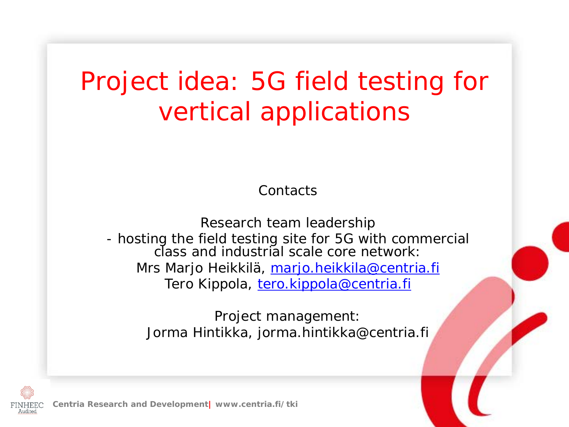### Project idea: 5G field testing for vertical applications

**Contacts** 

Research team leadership - hosting the field testing site for 5G with commercial class and industrial scale core network: Mrs Marjo Heikkilä, <u>marjo.heikkila@centria.fi</u> Tero Kippola, [tero.kippola@centria.fi](mailto:tero.kippola@centria.fi)

> Project management: Jorma Hintikka, jorma.hintikka@centria.fi



**Centria Research and Development| www.centria.fi/tki**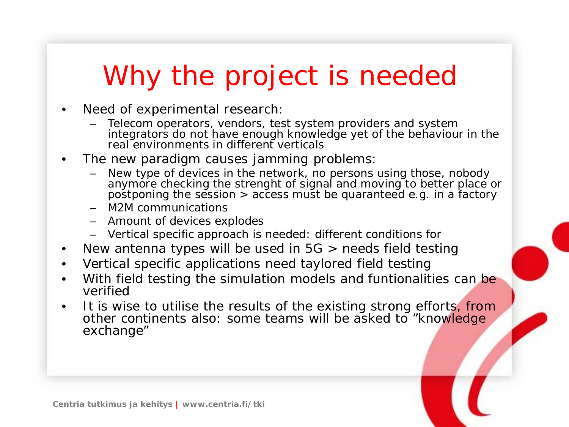# Why the project is needed

- Need of experimental research:
	- Telecom operators, vendors, test system providers and system integrators do not have enough knowledge yet of the behaviour in the real environments in different verticals
- The new paradigm causes jamming problems:
	- New type of devices in the network, no persons using those, nobody anymore checking the strenght of signal and moving to better place or postponing the session > access must be quaranteed e.g. in a factory
	- M2M communications
	- Amount of devices explodes
	- Vertical specific approach is needed: different conditions for
- New antenna types will be used in 5G > needs field testing
- Vertical specific applications need taylored field testing
- With field testing the simulation models and funtionalities can be verified
- It is wise to utilise the results of the existing strong efforts, from other continents also: some teams will be asked to "knowledge" exchange"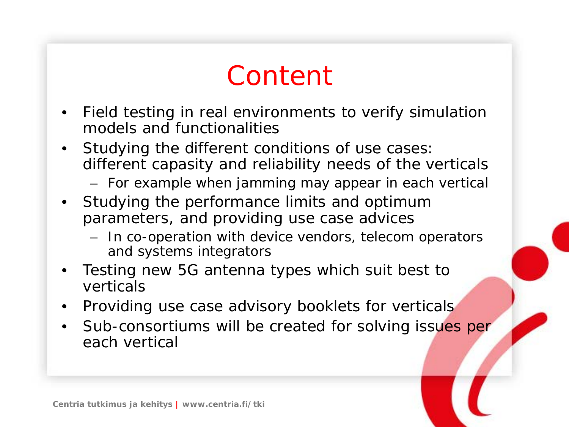### Content

- Field testing in real environments to verify simulation models and functionalities
- Studying the different conditions of use cases: different capasity and reliability needs of the verticals
	- For example when jamming may appear in each vertical
- Studying the performance limits and optimum parameters, and providing use case advices
	- In co-operation with device vendors, telecom operators and systems integrators
- Testing new 5G antenna types which suit best to verticals
- Providing use case advisory booklets for verticals
- Sub-consortiums will be created for solving issues per each vertical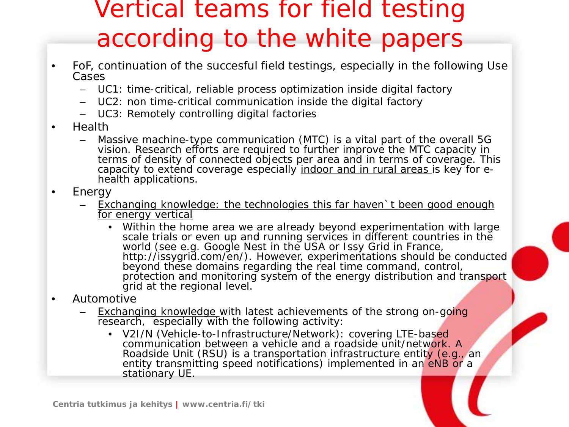### Vertical teams for field testing according to the white papers

- FoF, continuation of the succesful field testings, especially in the following Use Cases
	- UC1: time-critical, reliable process optimization inside digital factory
	- UC2: non time-critical communication inside the digital factory
	- UC3: Remotely controlling digital factories
- Health
	- Massive machine-type communication (MTC) is a vital part of the overall 5G vision. Research efforts are required to further improve the MTC capacity in terms of density of connected objects per area and in terms of coverage. This capacity to extend coverage especially <u>indoor and in rural areas i</u>s key for e-<br>health applications.
- Energy
	- Exchanging knowledge: the technologies this far haven t been good enough for energy vertical
		- Within the home area we are already beyond experimentation with large scale trials or even up and running services in different countries in the world (see e.g. Google Nest in the USA or Issy Grid in France, http://issygrid.com/en/). However, experimentations should be conducted beyond these domains regarding the real time command, control, protection and monitoring system of the energy distribution and transport grid at the regional level.
- Automotive
	- **Exchanging knowledge with latest achievements of the strong on-going** research, especially with the following activity:
		- V2I/N (Vehicle-to-Infrastructure/Network): covering LTE-based communication between a vehicle and a roadside unit/network. A Roadside Unit (RSU) is a transportation infrastructure entity (e.g., an entity transmitting speed notifications) implemented in an eNB or a stationary UE.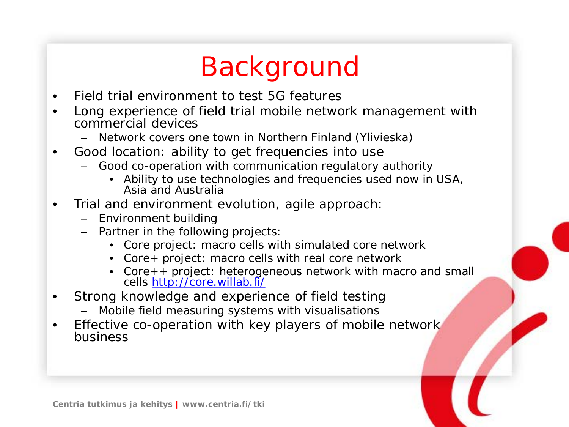# Background

- Field trial environment to test 5G features
- Long experience of field trial mobile network management with commercial devices
	- Network covers one town in Northern Finland (Ylivieska)
- Good location: ability to get frequencies into use
	- Good co-operation with communication regulatory authority
		- Ability to use technologies and frequencies used now in USA, Asia and Australia
- Trial and environment evolution, agile approach:
	- Environment building
	- Partner in the following projects:
		- Core project: macro cells with simulated core network
		- Core+ project: macro cells with real core network
		- Core++ project: heterogeneous network with macro and small cells <u><http://core.willab.fi/></u>
- Strong knowledge and experience of field testing
	- Mobile field measuring systems with visualisations
- Effective co-operation with key players of mobile network business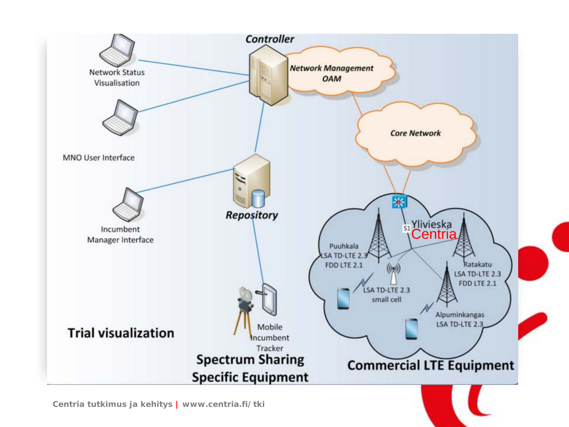